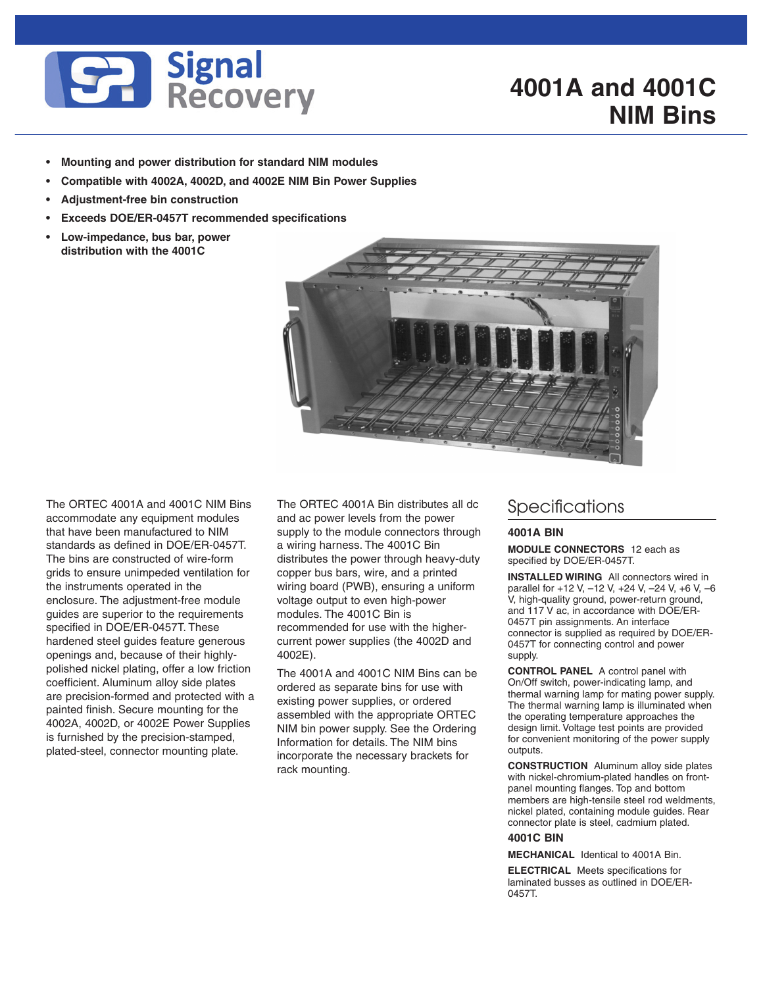

## **4001A and 4001C NIM Bins**

- **Mounting and power distribution for standard NIM modules**
- **Compatible with 4002A, 4002D, and 4002E NIM Bin Power Supplies**
- **Adjustment-free bin construction**
- **Exceeds DOE/ER-0457T recommended specifications**
- **Low-impedance, bus bar, power distribution with the 4001C**



The ORTEC 4001A and 4001C NIM Bins accommodate any equipment modules that have been manufactured to NIM standards as defined in DOE/ER-0457T. The bins are constructed of wire-form grids to ensure unimpeded ventilation for the instruments operated in the enclosure. The adjustment-free module guides are superior to the requirements specified in DOE/ER-0457T. These hardened steel guides feature generous openings and, because of their highlypolished nickel plating, offer a low friction coefficient. Aluminum alloy side plates are precision-formed and protected with a painted finish. Secure mounting for the 4002A, 4002D, or 4002E Power Supplies is furnished by the precision-stamped, plated-steel, connector mounting plate.

The ORTEC 4001A Bin distributes all dc and ac power levels from the power supply to the module connectors through a wiring harness. The 4001C Bin distributes the power through heavy-duty copper bus bars, wire, and a printed wiring board (PWB), ensuring a uniform voltage output to even high-power modules. The 4001C Bin is recommended for use with the highercurrent power supplies (the 4002D and 4002E).

The 4001A and 4001C NIM Bins can be ordered as separate bins for use with existing power supplies, or ordered assembled with the appropriate ORTEC NIM bin power supply. See the Ordering Information for details. The NIM bins incorporate the necessary brackets for rack mounting.

### **Specifications**

#### **4001A BIN**

**MODULE CONNECTORS** 12 each as specified by DOE/ER-0457T.

**INSTALLED WIRING** All connectors wired in parallel for +12 V, –12 V, +24 V, –24 V, +6 V, –6 V, high-quality ground, power-return ground, and 117 V ac, in accordance with DOE/ER-0457T pin assignments. An interface connector is supplied as required by DOE/ER-0457T for connecting control and power supply.

**CONTROL PANEL** A control panel with On/Off switch, power-indicating lamp, and thermal warning lamp for mating power supply. The thermal warning lamp is illuminated when the operating temperature approaches the design limit. Voltage test points are provided for convenient monitoring of the power supply outputs.

**CONSTRUCTION** Aluminum alloy side plates with nickel-chromium-plated handles on frontpanel mounting flanges. Top and bottom members are high-tensile steel rod weldments, nickel plated, containing module guides. Rear connector plate is steel, cadmium plated.

#### **4001C BIN**

**MECHANICAL** Identical to 4001A Bin.

**ELECTRICAL** Meets specifications for laminated busses as outlined in DOE/ER-0457T.